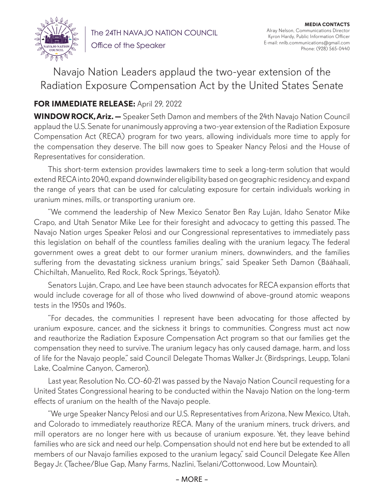

The 24TH NAVAJO NATION COUNCIL Office of the Speaker

**MEDIA CONTACTS** Alray Nelson, Communications Director Kyron Hardy, Public Information Officer E-mail: nnlb.communications@gmail.com Phone: (928) 565-0440

Navajo Nation Leaders applaud the two-year extension of the Radiation Exposure Compensation Act by the United States Senate

## **FOR IMMEDIATE RELEASE:** April 29, 2022

**WINDOW ROCK, Ariz. —** Speaker Seth Damon and members of the 24th Navajo Nation Council applaud the U.S. Senate for unanimously approving a two-year extension of the Radiation Exposure Compensation Act (RECA) program for two years, allowing individuals more time to apply for the compensation they deserve. The bill now goes to Speaker Nancy Pelosi and the House of Representatives for consideration.

This short-term extension provides lawmakers time to seek a long-term solution that would extend RECA into 2040, expand downwinder eligibility based on geographic residency, and expand the range of years that can be used for calculating exposure for certain individuals working in uranium mines, mills, or transporting uranium ore.

"We commend the leadership of New Mexico Senator Ben Ray Luján, Idaho Senator Mike Crapo, and Utah Senator Mike Lee for their foresight and advocacy to getting this passed. The Navajo Nation urges Speaker Pelosi and our Congressional representatives to immediately pass this legislation on behalf of the countless families dealing with the uranium legacy. The federal government owes a great debt to our former uranium miners, downwinders, and the families suffering from the devastating sickness uranium brings," said Speaker Seth Damon (Bááhaalí, Chichiltah, Manuelito, Red Rock, Rock Springs, Tséyatoh).

Senators Luján, Crapo, and Lee have been staunch advocates for RECA expansion efforts that would include coverage for all of those who lived downwind of above-ground atomic weapons tests in the 1950s and 1960s.

"For decades, the communities I represent have been advocating for those affected by uranium exposure, cancer, and the sickness it brings to communities. Congress must act now and reauthorize the Radiation Exposure Compensation Act program so that our families get the compensation they need to survive. The uranium legacy has only caused damage, harm, and loss of life for the Navajo people," said Council Delegate Thomas Walker Jr. (Birdsprings, Leupp, Tolani Lake, Coalmine Canyon, Cameron).

Last year, Resolution No. CO-60-21 was passed by the Navajo Nation Council requesting for a United States Congressional hearing to be conducted within the Navajo Nation on the long-term effects of uranium on the health of the Navajo people.

"We urge Speaker Nancy Pelosi and our U.S. Representatives from Arizona, New Mexico, Utah, and Colorado to immediately reauthorize RECA. Many of the uranium miners, truck drivers, and mill operators are no longer here with us because of uranium exposure. Yet, they leave behind families who are sick and need our help. Compensation should not end here but be extended to all members of our Navajo families exposed to the uranium legacy," said Council Delegate Kee Allen Begay Jr. (Tachee/Blue Gap, Many Farms, Nazlini, Tselani/Cottonwood, Low Mountain).